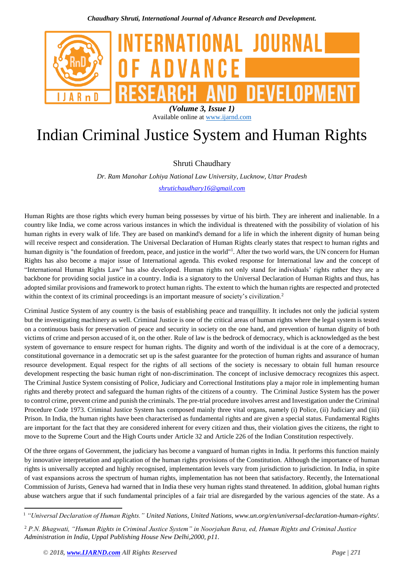

# *(Volume 3, Issue 1)* Available online at [www.ijarnd.com](http://www.ijarnd.com/)

# Indian Criminal Justice System and Human Rights

Shruti Chaudhary

*Dr. Ram Manohar Lohiya National Law University, Lucknow, Uttar Pradesh [shrutichaudhary16@gmail.com](mailto:shrutichaudhary16@gmail.com)*

Human Rights are those rights which every human being possesses by virtue of his birth. They are inherent and inalienable. In a country like India, we come across various instances in which the individual is threatened with the possibility of violation of his human rights in every walk of life. They are based on mankind's demand for a life in which the inherent dignity of human being will receive respect and consideration. The Universal Declaration of Human Rights clearly states that respect to human rights and human dignity is "the foundation of freedom, peace, and justice in the world"<sup>1</sup>. After the two world wars, the UN concern for Human Rights has also become a major issue of International agenda. This evoked response for International law and the concept of "International Human Rights Law" has also developed. Human rights not only stand for individuals' rights rather they are a backbone for providing social justice in a country. India is a signatory to the Universal Declaration of Human Rights and thus, has adopted similar provisions and framework to protect human rights. The extent to which the human rights are respected and protected within the context of its criminal proceedings is an important measure of society's civilization.<sup>2</sup>

Criminal Justice System of any country is the basis of establishing peace and tranquillity. It includes not only the judicial system but the investigating machinery as well. Criminal Justice is one of the critical areas of human rights where the legal system is tested on a continuous basis for preservation of peace and security in society on the one hand, and prevention of human dignity of both victims of crime and person accused of it, on the other. Rule of law is the bedrock of democracy, which is acknowledged as the best system of governance to ensure respect for human rights. The dignity and worth of the individual is at the core of a democracy, constitutional governance in a democratic set up is the safest guarantee for the protection of human rights and assurance of human resource development. Equal respect for the rights of all sections of the society is necessary to obtain full human resource development respecting the basic human right of non-discrimination. The concept of inclusive democracy recognizes this aspect. The Criminal Justice System consisting of Police, Judiciary and Correctional Institutions play a major role in implementing human rights and thereby protect and safeguard the human rights of the citizens of a country. The Criminal Justice System has the power to control crime, prevent crime and punish the criminals. The pre-trial procedure involves arrest and Investigation under the Criminal Procedure Code 1973. Criminal Justice System has composed mainly three vital organs, namely (i) Police, (ii) Judiciary and (iii) Prison. In India, the human rights have been characterised as fundamental rights and are given a special status. Fundamental Rights are important for the fact that they are considered inherent for every citizen and thus, their violation gives the citizens, the right to move to the Supreme Court and the High Courts under Article 32 and Article 226 of the Indian Constitution respectively.

Of the three organs of Government, the judiciary has become a vanguard of human rights in India. It performs this function mainly by innovative interpretation and application of the human rights provisions of the Constitution. Although the importance of human rights is universally accepted and highly recognised, implementation levels vary from jurisdiction to jurisdiction. In India, in spite of vast expansions across the spectrum of human rights, implementation has not been that satisfactory. Recently, the International Commission of Jurists, Geneva had warned that in India these very human rights stand threatened. In addition, global human rights abuse watchers argue that if such fundamental principles of a fair trial are disregarded by the various agencies of the state. As a

**.** 

<sup>1</sup> *"Universal Declaration of Human Rights." United Nations, United Nations, www.un.org/en/universal-declaration-human-rights/.*

<sup>2</sup> *P.N. Bhagwati, "Human Rights in Criminal Justice System" in Noorjahan Bava, ed, Human Rights and Criminal Justice Administration in India, Uppal Publishing House New Delhi,2000, p11.*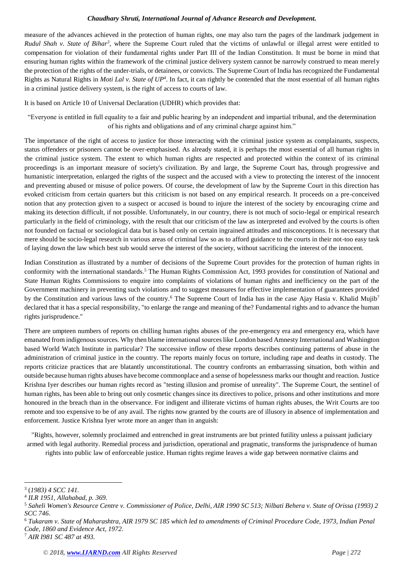#### *Chaudhary Shruti, International Journal of Advance Research and Development.*

measure of the advances achieved in the protection of human rights, one may also turn the pages of the landmark judgement in *Rudul Shah v. State of Bihar<sup>3</sup>*, where the Supreme Court ruled that the victims of unlawful or illegal arrest were entitled to compensation for violation of their fundamental rights under Part III of the Indian Constitution. It must be borne in mind that ensuring human rights within the framework of the criminal justice delivery system cannot be narrowly construed to mean merely the protection of the rights of the under-trials, or detainees, or convicts. The Supreme Court of India has recognized the Fundamental Rights as Natural Rights in *Moti Lal v. State of UP<sup>4</sup>*. In fact, it can rightly be contended that the most essential of all human rights in a criminal justice delivery system, is the right of access to courts of law.

It is based on Article 10 of Universal Declaration (UDHR) which provides that:

"Everyone is entitled in full equality to a fair and public hearing by an independent and impartial tribunal, and the determination of his rights and obligations and of any criminal charge against him."

The importance of the right of access to justice for those interacting with the criminal justice system as complainants, suspects, status offenders or prisoners cannot be over-emphasised. As already stated, it is perhaps the most essential of all human rights in the criminal justice system. The extent to which human rights are respected and protected within the context of its criminal proceedings is an important measure of society's civilization. By and large, the Supreme Court has, through progressive and humanistic interpretation, enlarged the rights of the suspect and the accused with a view to protecting the interest of the innocent and preventing abused or misuse of police powers. Of course, the development of law by the Supreme Court in this direction has evoked criticism from certain quarters but this criticism is not based on any empirical research. It proceeds on a pre-conceived notion that any protection given to a suspect or accused is bound to injure the interest of the society by encouraging crime and making its detection difficult, if not possible. Unfortunately, in our country, there is not much of socio-legal or empirical research particularly in the field of criminology, with the result that our criticism of the law as interpreted and evolved by the courts is often not founded on factual or sociological data but is based only on certain ingrained attitudes and misconceptions. It is necessary that mere should be socio-legal research in various areas of criminal law so as to afford guidance to the courts in their not-too easy task of laying down the law which best sub would serve the interest of the society, without sacrificing the interest of the innocent.

Indian Constitution as illustrated by a number of decisions of the Supreme Court provides for the protection of human rights in conformity with the international standards.<sup>5</sup> The Human Rights Commission Act, 1993 provides for constitution of National and State Human Rights Commissions to enquire into complaints of violations of human rights and inefficiency on the part of the Government machinery in preventing such violations and to suggest measures for effective implementation of guarantees provided by the Constitution and various laws of the country.<sup>6</sup> The Supreme Court of India has in the case Ajay Hasia v. Khalid Mujib<sup>7</sup> declared that it has a special responsibility, "to enlarge the range and meaning of the? Fundamental rights and to advance the human rights jurisprudence."

There are umpteen numbers of reports on chilling human rights abuses of the pre-emergency era and emergency era, which have emanated from indigenous sources. Why then blame international sources like London based Amnesty International and Washington based World Watch Institute in particular? The successive inflow of these reports describes continuing patterns of abuse in the administration of criminal justice in the country. The reports mainly focus on torture, including rape and deaths in custody. The reports criticize practices that are blatantly unconstitutional. The country confronts an embarrassing situation, both within and outside because human rights abuses have become commonplace and a sense of hopelessness marks our thought and reaction. Justice Krishna Iyer describes our human rights record as "testing illusion and promise of unreality". The Supreme Court, the sentinel of human rights, has been able to bring out only cosmetic changes since its directives to police, prisons and other institutions and more honoured in the breach than in the observance. For indigent and illiterate victims of human rights abuses, the Writ Courts are too remote and too expensive to be of any avail. The rights now granted by the courts are of illusory in absence of implementation and enforcement. Justice Krishna Iyer wrote more an anger than in anguish:

"Rights, however, solemnly proclaimed and entrenched in great instruments are but printed futility unless a puissant judiciary armed with legal authority. Remedial process and jurisdiction, operational and pragmatic, transforms the jurisprudence of human

rights into public law of enforceable justice. Human rights regime leaves a wide gap between normative claims and

**<sup>.</sup>** 3 (*1983) 4 SCC 141.*

<sup>4</sup> *ILR 1951, Allahabad, p. 369.*

<sup>5</sup> *Saheli Women's Resource Centre v. Commissioner of Police, Delhi, AIR 1990 SC 513; Nilbati Behera v. State of Orissa (1993) 2 SCC 746*.

<sup>6</sup> *Tukaram v. State of Maharashtra, AIR 1979 SC 185 which led to amendments of Criminal Procedure Code, 1973, Indian Penal Code, 1860 and Evidence Act, 1972.*

<sup>7</sup> *AIR I981 SC 487 at 493.*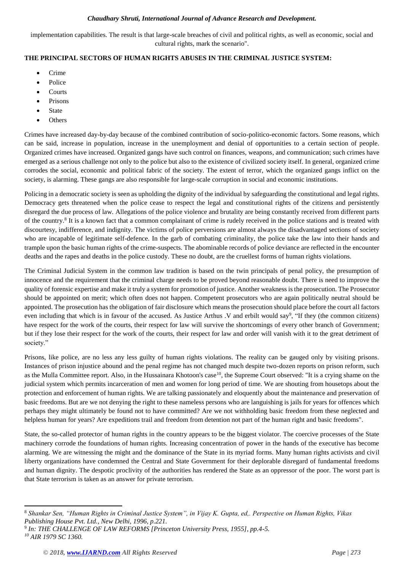#### *Chaudhary Shruti, International Journal of Advance Research and Development.*

implementation capabilities. The result is that large-scale breaches of civil and political rights, as well as economic, social and cultural rights, mark the scenario".

# **THE PRINCIPAL SECTORS OF HUMAN RIGHTS ABUSES IN THE CRIMINAL JUSTICE SYSTEM:**

- Crime
- Police
- Courts
- Prisons
- State
- **Others**

Crimes have increased day-by-day because of the combined contribution of socio-politico-economic factors. Some reasons, which can be said, increase in population, increase in the unemployment and denial of opportunities to a certain section of people. Organized crimes have increased. Organized gangs have such control on finances, weapons, and communication; such crimes have emerged as a serious challenge not only to the police but also to the existence of civilized society itself. In general, organized crime corrodes the social, economic and political fabric of the society. The extent of terror, which the organized gangs inflict on the society, is alarming. These gangs are also responsible for large-scale corruption in social and economic institutions.

Policing in a democratic society is seen as upholding the dignity of the individual by safeguarding the constitutional and legal rights. Democracy gets threatened when the police cease to respect the legal and constitutional rights of the citizens and persistently disregard the due process of law. Allegations of the police violence and brutality are being constantly received from different parts of the country.<sup>8</sup> It is a known fact that a common complainant of crime is rudely received in the police stations and is treated with discourtesy, indifference, and indignity. The victims of police perversions are almost always the disadvantaged sections of society who are incapable of legitimate self-defence. In the garb of combating criminality, the police take the law into their hands and trample upon the basic human rights of the crime-suspects. The abominable records of police deviance are reflected in the encounter deaths and the rapes and deaths in the police custody. These no doubt, are the cruellest forms of human rights violations.

The Criminal Judicial System in the common law tradition is based on the twin principals of penal policy, the presumption of innocence and the requirement that the criminal charge needs to be proved beyond reasonable doubt. There is need to improve the quality of forensic expertise and make it truly a system for promotion of justice. Another weakness is the prosecution. The Prosecutor should be appointed on merit; which often does not happen. Competent prosecutors who are again politically neutral should be appointed. The prosecution has the obligation of fair disclosure which means the prosecution should place before the court all factors even including that which is in favour of the accused. As Justice Arthus .V and erbilt would say<sup>9</sup>, "If they (the common citizens) have respect for the work of the courts, their respect for law will survive the shortcomings of every other branch of Government; but if they lose their respect for the work of the courts, their respect for law and order will vanish with it to the great detriment of society."

Prisons, like police, are no less any less guilty of human rights violations. The reality can be gauged only by visiting prisons. Instances of prison injustice abound and the penal regime has not changed much despite two-dozen reports on prison reform, such as the Mulla Committee report. Also, in the Hussainara Khotoon's case<sup>10</sup>, the Supreme Court observed: "It is a crying shame on the judicial system which permits incarceration of men and women for long period of time. We are shouting from housetops about the protection and enforcement of human rights. We are talking passionately and eloquently about the maintenance and preservation of basic freedoms. But are we not denying the right to these nameless persons who are languishing is jails for years for offences which perhaps they might ultimately be found not to have committed? Are we not withholding basic freedom from these neglected and helpless human for years? Are expeditions trail and freedom from detention not part of the human right and basic freedoms".

State, the so-called protector of human rights in the country appears to be the biggest violator. The coercive processes of the State machinery corrode the foundations of human rights. Increasing concentration of power in the hands of the executive has become alarming. We are witnessing the might and the dominance of the State in its myriad forms. Many human rights activists and civil liberty organizations have condemned the Central and State Government for their deplorable disregard of fundamental freedoms and human dignity. The despotic proclivity of the authorities has rendered the State as an oppressor of the poor. The worst part is that State terrorism is taken as an answer for private terrorism.

**<sup>.</sup>** <sup>8</sup> *Shankar Sen, "Human Rights in Criminal Justice System", in Vijay K. Gupta, ed,. Perspective on Human Rights, Vikas Publishing House Pvt. Ltd., New Delhi, 1996, p.221.*

<sup>9</sup> *In: THE CHALLENGE OF LAW REFORMS [Princeton University Press, 1955], pp.4-5. <sup>10</sup> AIR 1979 SC 1360.*